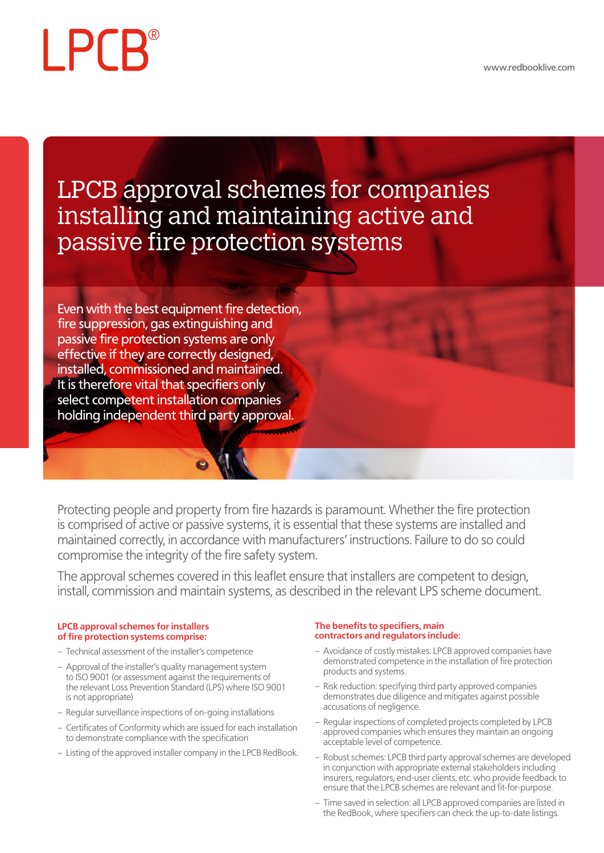# **LPCB**

# LPCB approval schemes for companies installing and maintaining active and passive fire protection systems

Even with the best equipment fire detection, fire suppression, gas extinguishing and passive fire protection systems are only effective if they are correctly designed, installed, commissioned and maintained. It is therefore vital that specifiers only select competent installation companies holding independent third party approval.

Protecting people and property from fire hazards is paramount. Whether the fire protection is comprised of active or passive systems, it is essential that these systems are installed and maintained correctly, in accordance with manufacturers' instructions. Failure to do so could compromise the integrity of the fire safety system.

The approval schemes covered in this leaflet ensure that installers are competent to design, install, commission and maintain systems, as described in the relevant LPS scheme document.

#### **LPCB approval schemes for installers of fire protection systems comprise:**

- Technical assessment of the installer's competence
- Approval of the installer's quality management system to ISO 9001 (or assessment against the requirements of the relevant Loss Prevention Standard (LPS) where ISO 9001 is not appropriate)
- Regular surveillance inspections of on-going installations
- Certificates of Conformity which are issued for each installation to demonstrate compliance with the specification
- Listing of the approved installer company in the LPCB RedBook.

#### **The benefits to specifiers, main contractors and regulators include:**

- Avoidance of costly mistakes: LPCB approved companies have demonstrated competence in the installation of fire protection products and systems.
- Risk reduction: specifying third party approved companies demonstrates due diligence and mitigates against possible accusations of negligence.
- Regular inspections of completed projects completed by LPCB approved companies which ensures they maintain an ongoing acceptable level of competence.
- Robust schemes: LPCB third party approval schemes are developed in conjunction with appropriate external stakeholders including insurers, regulators, end-user clients, etc. who provide feedback to ensure that the LPCB schemes are relevant and fit-for-purpose.
- Time saved in selection: all LPCB approved companies are listed in the RedBook, where specifiers can check the up-to-date listings.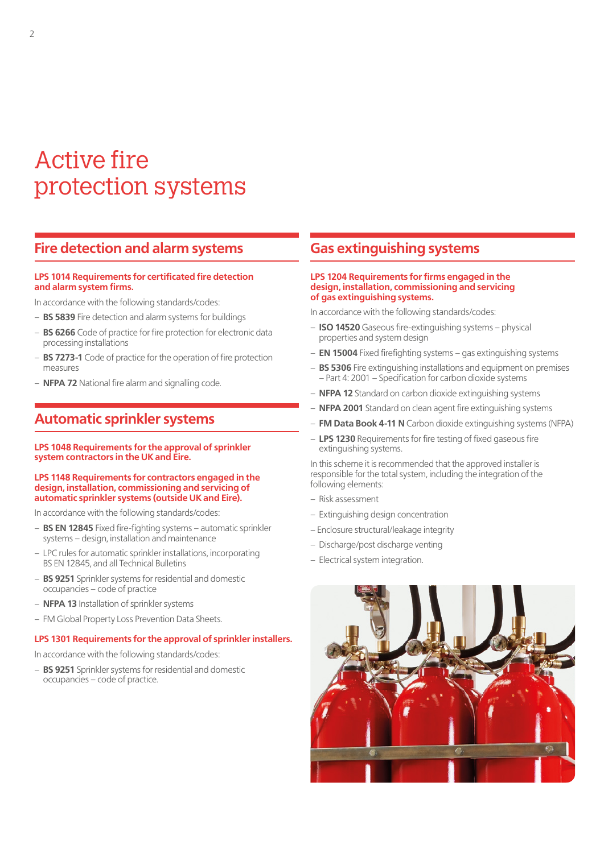# Active fire protection systems

## **Fire detection and alarm systems**

#### **LPS 1014 Requirements for certificated fire detection and alarm system firms.**

In accordance with the following standards/codes:

- **BS 5839** Fire detection and alarm systems for buildings
- **BS 6266** Code of practice for fire protection for electronic data processing installations
- **BS 7273-1** Code of practice for the operation of fire protection measures
- **NFPA 72** National fire alarm and signalling code.

## **Automatic sprinkler systems**

**LPS 1048 Requirements for the approval of sprinkler system contractors in the UK and Eire.**

#### **LPS 1148 Requirements for contractors engaged in the design, installation, commissioning and servicing of automatic sprinkler systems (outside UK and Eire).**

In accordance with the following standards/codes:

- **BS EN 12845** Fixed fire-fighting systems automatic sprinkler systems – design, installation and maintenance
- LPC rules for automatic sprinkler installations, incorporating BS EN 12845, and all Technical Bulletins
- **BS 9251** Sprinkler systems for residential and domestic occupancies – code of practice
- **NFPA 13** Installation of sprinkler systems
- FM Global Property Loss Prevention Data Sheets.

#### **LPS 1301 Requirements for the approval of sprinkler installers.**

In accordance with the following standards/codes:

– **BS 9251** Sprinkler systems for residential and domestic occupancies – code of practice.

### **Gas extinguishing systems**

#### **LPS 1204 Requirements for firms engaged in the design, installation, commissioning and servicing of gas extinguishing systems.**

In accordance with the following standards/codes:

- **ISO 14520** Gaseous fire-extinguishing systems physical properties and system design
- **EN 15004** Fixed firefighting systems gas extinguishing systems
- **BS 5306** Fire extinguishing installations and equipment on premises – Part 4: 2001 – Specification for carbon dioxide systems
- **NFPA 12** Standard on carbon dioxide extinguishing systems
- **NFPA 2001** Standard on clean agent fire extinguishing systems
- **FM Data Book 4-11 N** Carbon dioxide extinguishing systems (NFPA)
- **LPS 1230** Requirements for fire testing of fixed gaseous fire extinguishing systems.

In this scheme it is recommended that the approved installer is responsible for the total system, including the integration of the following elements:

- Risk assessment
- Extinguishing design concentration
- Enclosure structural/leakage integrity
- Discharge/post discharge venting
- Electrical system integration.

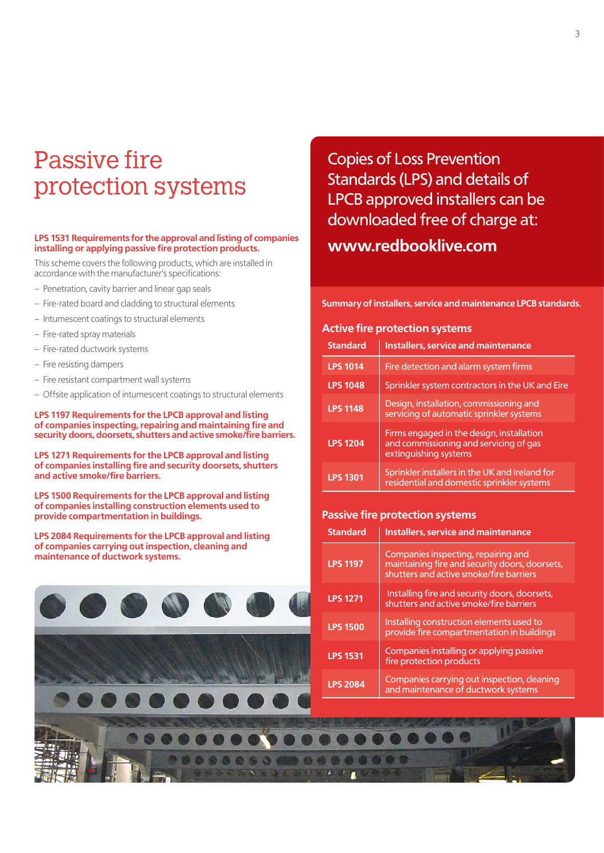# Passive fire protection systems

#### **LPS 1531 Requirements for the approval and listing of companies installing or applying passive fire protection products.**

This scheme covers the following products, which are installed in accordance with the manufacturer's specifications:

- Penetration, cavity barrier and linear gap seals
- Fire-rated board and cladding to structural elements
- Intumescent coatings to structural elements
- Fire-rated spray materials
- Fire-rated ductwork systems
- Fire resisting dampers
- Fire resistant compartment wall systems
- Offsite application of intumescent coatings to structural elements

**LPS 1197 Requirements for the LPCB approval and listing of companies inspecting, repairing and maintaining fire and security doors, doorsets, shutters and active smoke/fire barriers.**

**LPS 1271 Requirements for the LPCB approval and listing of companies installing fire and security doorsets, shutters and active smoke/fire barriers.**

**LPS 1500 Requirements for the LPCB approval and listing of companies installing construction elements used to provide compartmentation in buildings.**

**LPS 2084 Requirements for the LPCB approval and listing of companies carrying out inspection, cleaning and maintenance of ductwork systems.**



Copies of Loss Prevention Standards (LPS) and details of LPCB approved installers can be downloaded free of charge at: **www.redbooklive.com**

**Summary of installers, service and maintenance LPCB standards.**

#### **Active fire protection systems**

| <b>Standard</b> | <b>Installers, service and maintenance</b>                                                                   |
|-----------------|--------------------------------------------------------------------------------------------------------------|
| <b>LPS 1014</b> | Fire detection and alarm system firms                                                                        |
| <b>LPS 1048</b> | Sprinkler system contractors in the UK and Eire                                                              |
| <b>LPS 1148</b> | Design, installation, commissioning and<br>servicing of automatic sprinkler systems                          |
| <b>LPS 1204</b> | Firms engaged in the design, installation<br>and commissioning and servicing of gas<br>extinguishing systems |
| <b>LPS 1301</b> | Sprinkler installers in the UK and Ireland for<br>residential and domestic sprinkler systems                 |

#### **Passive fire protection systems**

| <b>Standard</b> | <b>Installers, service and maintenance</b>                                                                                       |
|-----------------|----------------------------------------------------------------------------------------------------------------------------------|
| <b>LPS 1197</b> | Companies inspecting, repairing and<br>maintaining fire and security doors, doorsets,<br>shutters and active smoke/fire barriers |
| <b>LPS 1271</b> | Installing fire and security doors, doorsets,<br>shutters and active smoke/fire barriers                                         |
| <b>LPS 1500</b> | Installing construction elements used to<br>provide fire compartmentation in buildings                                           |
| <b>LPS 1531</b> | Companies installing or applying passive<br>fire protection products                                                             |
| <b>LPS 2084</b> | Companies carrying out inspection, cleaning<br>and maintenance of ductwork systems                                               |